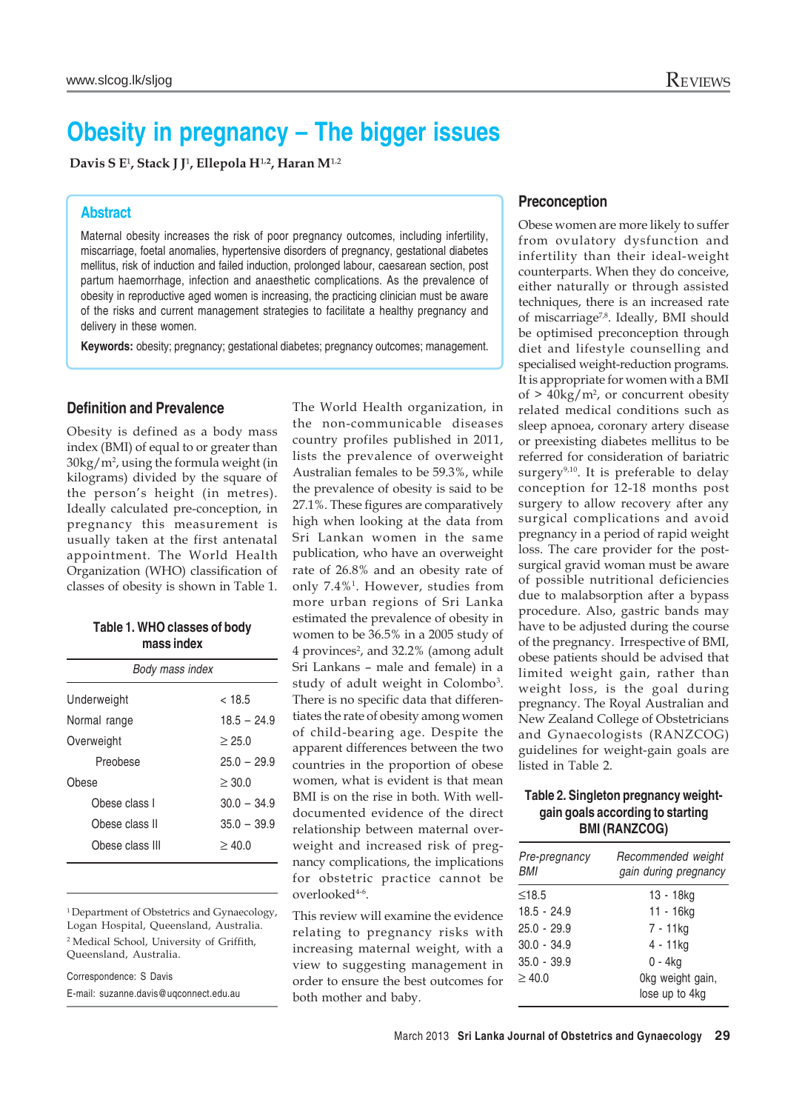# **Obesity in pregnancy – The bigger issues**

Davis S E<sup>1</sup>, Stack J J<sup>1</sup>, Ellepola H<sup>1,2</sup>, Haran M<sup>1,2</sup>

### **Abstract**

Maternal obesity increases the risk of poor pregnancy outcomes, including infertility, miscarriage, foetal anomalies, hypertensive disorders of pregnancy, gestational diabetes mellitus, risk of induction and failed induction, prolonged labour, caesarean section, post partum haemorrhage, infection and anaesthetic complications. As the prevalence of obesity in reproductive aged women is increasing, the practicing clinician must be aware of the risks and current management strategies to facilitate a healthy pregnancy and delivery in these women.

**Keywords:** obesity; pregnancy; gestational diabetes; pregnancy outcomes; management.

### **Definition and Prevalence**

Obesity is defined as a body mass index (BMI) of equal to or greater than  $30\text{kg}/\text{m}^2$ , using the formula weight (in kilograms) divided by the square of the person's height (in metres). Ideally calculated pre-conception, in pregnancy this measurement is usually taken at the first antenatal appointment. The World Health Organization (WHO) classification of classes of obesity is shown in Table 1.

|            |  | Table 1. WHO classes of body |  |  |  |
|------------|--|------------------------------|--|--|--|
| mass index |  |                              |  |  |  |

| Body mass index |               |  |  |  |  |
|-----------------|---------------|--|--|--|--|
| Underweight     | $<$ 18.5      |  |  |  |  |
| Normal range    | $18.5 - 24.9$ |  |  |  |  |
| Overweight      | > 25.0        |  |  |  |  |
| Preobese        | $25.0 - 29.9$ |  |  |  |  |
| Obese           | > 30.0        |  |  |  |  |
| Obese class I   | $30.0 - 34.9$ |  |  |  |  |
| Obese class II  | $35.0 - 39.9$ |  |  |  |  |
| Obese class III | >40.0         |  |  |  |  |
|                 |               |  |  |  |  |

<sup>1</sup> Department of Obstetrics and Gynaecology,

Logan Hospital, Queensland, Australia. 2 Medical School, University of Griffith,

Queensland, Australia.

Correspondence: S Davis E-mail: suzanne.davis@uqconnect.edu.au The World Health organization, in the non-communicable diseases country profiles published in 2011, lists the prevalence of overweight Australian females to be 59.3%, while the prevalence of obesity is said to be 27.1%. These figures are comparatively high when looking at the data from Sri Lankan women in the same publication, who have an overweight rate of 26.8% and an obesity rate of only 7.4%1. However, studies from more urban regions of Sri Lanka estimated the prevalence of obesity in women to be 36.5% in a 2005 study of 4 provinces<sup>2</sup>, and 32.2% (among adult Sri Lankans – male and female) in a study of adult weight in Colombo<sup>3</sup>. There is no specific data that differentiates the rate of obesity among women of child-bearing age. Despite the apparent differences between the two countries in the proportion of obese women, what is evident is that mean BMI is on the rise in both. With welldocumented evidence of the direct relationship between maternal overweight and increased risk of pregnancy complications, the implications for obstetric practice cannot be overlooked<sup>4-6</sup>.

This review will examine the evidence relating to pregnancy risks with increasing maternal weight, with a view to suggesting management in order to ensure the best outcomes for both mother and baby.

### **Preconception**

Obese women are more likely to suffer from ovulatory dysfunction and infertility than their ideal-weight counterparts. When they do conceive, either naturally or through assisted techniques, there is an increased rate of miscarriage<sup>7,8</sup>. Ideally, BMI should be optimised preconception through diet and lifestyle counselling and specialised weight-reduction programs. It is appropriate for women with a BMI of  $> 40 \text{kg/m}^2$ , or concurrent obesity related medical conditions such as sleep apnoea, coronary artery disease or preexisting diabetes mellitus to be referred for consideration of bariatric surgery<sup>9,10</sup>. It is preferable to delay conception for 12-18 months post surgery to allow recovery after any surgical complications and avoid pregnancy in a period of rapid weight loss. The care provider for the postsurgical gravid woman must be aware of possible nutritional deficiencies due to malabsorption after a bypass procedure. Also, gastric bands may have to be adjusted during the course of the pregnancy. Irrespective of BMI, obese patients should be advised that limited weight gain, rather than weight loss, is the goal during pregnancy. The Royal Australian and New Zealand College of Obstetricians and Gynaecologists (RANZCOG) guidelines for weight-gain goals are listed in Table 2.

### **Table 2. Singleton pregnancy weightgain goals according to starting BMI (RANZCOG)**

| Pre-pregnancy<br>BMI | Recommended weight<br>gain during pregnancy |
|----------------------|---------------------------------------------|
| $\leq$ 18.5          | 13 - 18kg                                   |
| $18.5 - 24.9$        | 11 - 16kg                                   |
| $25.0 - 29.9$        | 7 - 11ka                                    |
| $30.0 - 34.9$        | 4 - 11ka                                    |
| $35.0 - 39.9$        | 0 - 4kg                                     |
| $\geq 40.0$          | Okg weight gain,<br>lose up to 4kg          |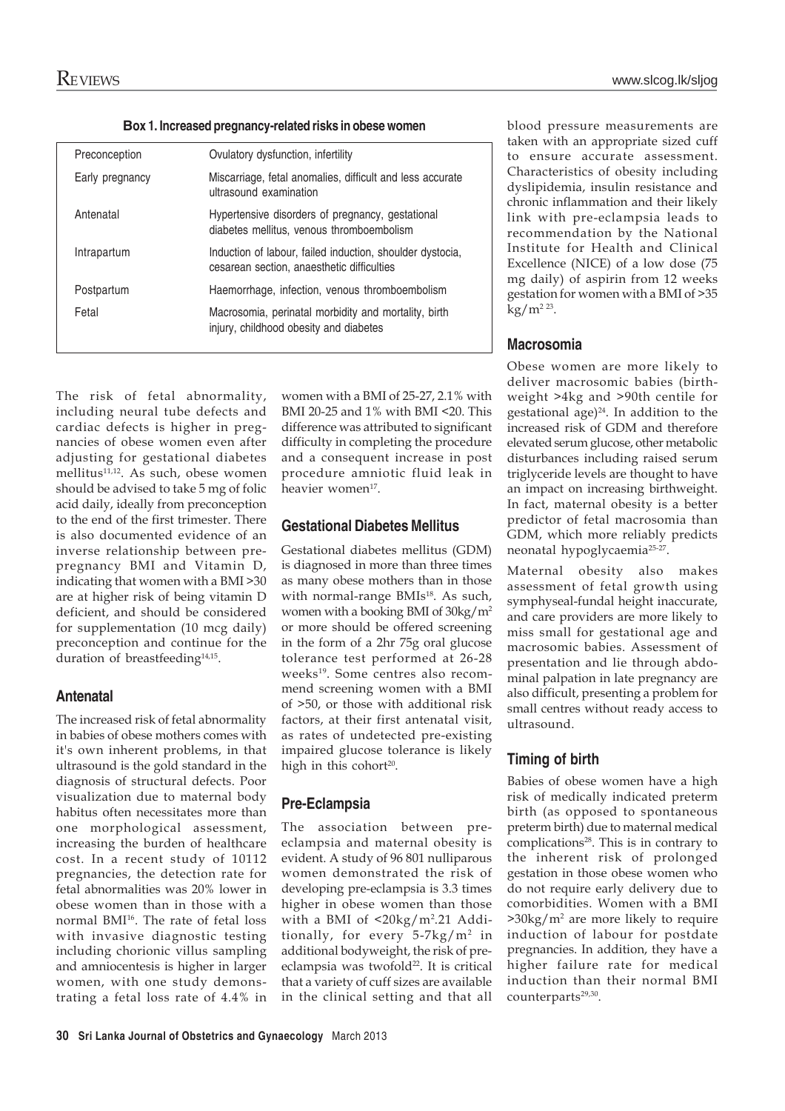**Box 1. Increased pregnancy-related risks in obese women**

| Preconception   | Ovulatory dysfunction, infertility                                                                      |
|-----------------|---------------------------------------------------------------------------------------------------------|
| Early pregnancy | Miscarriage, fetal anomalies, difficult and less accurate<br>ultrasound examination                     |
| Antenatal       | Hypertensive disorders of pregnancy, gestational<br>diabetes mellitus, venous thromboembolism           |
| Intrapartum     | Induction of labour, failed induction, shoulder dystocia,<br>cesarean section, anaesthetic difficulties |
| Postpartum      | Haemorrhage, infection, venous thromboembolism                                                          |
| Fetal           | Macrosomia, perinatal morbidity and mortality, birth<br>injury, childhood obesity and diabetes          |
|                 |                                                                                                         |

The risk of fetal abnormality, including neural tube defects and cardiac defects is higher in pregnancies of obese women even after adjusting for gestational diabetes mellitus<sup>11,12</sup>. As such, obese women should be advised to take 5 mg of folic acid daily, ideally from preconception to the end of the first trimester. There is also documented evidence of an inverse relationship between prepregnancy BMI and Vitamin D, indicating that women with a BMI >30 are at higher risk of being vitamin D deficient, and should be considered for supplementation (10 mcg daily) preconception and continue for the duration of breastfeeding<sup>14,15</sup>.

### **Antenatal**

The increased risk of fetal abnormality in babies of obese mothers comes with it's own inherent problems, in that ultrasound is the gold standard in the diagnosis of structural defects. Poor visualization due to maternal body habitus often necessitates more than one morphological assessment, increasing the burden of healthcare cost. In a recent study of 10112 pregnancies, the detection rate for fetal abnormalities was 20% lower in obese women than in those with a normal BMI<sup>16</sup>. The rate of fetal loss with invasive diagnostic testing including chorionic villus sampling and amniocentesis is higher in larger women, with one study demonstrating a fetal loss rate of 4.4% in

women with a BMI of 25-27, 2.1% with BMI 20-25 and 1% with BMI <20. This difference was attributed to significant difficulty in completing the procedure and a consequent increase in post procedure amniotic fluid leak in heavier women<sup>17</sup>.

### **Gestational Diabetes Mellitus**

Gestational diabetes mellitus (GDM) is diagnosed in more than three times as many obese mothers than in those with normal-range BMIs<sup>18</sup>. As such, women with a booking BMI of 30kg/m2 or more should be offered screening in the form of a 2hr 75g oral glucose tolerance test performed at 26-28 weeks<sup>19</sup>. Some centres also recommend screening women with a BMI of >50, or those with additional risk factors, at their first antenatal visit, as rates of undetected pre-existing impaired glucose tolerance is likely high in this cohort<sup>20</sup>.

# **Pre-Eclampsia**

The association between preeclampsia and maternal obesity is evident. A study of 96 801 nulliparous women demonstrated the risk of developing pre-eclampsia is 3.3 times higher in obese women than those with a BMI of <20kg/m<sup>2</sup>.21 Additionally, for every  $5-7kg/m^2$  in additional bodyweight, the risk of preeclampsia was twofold<sup>22</sup>. It is critical that a variety of cuff sizes are available in the clinical setting and that all blood pressure measurements are taken with an appropriate sized cuff to ensure accurate assessment. Characteristics of obesity including dyslipidemia, insulin resistance and chronic inflammation and their likely link with pre-eclampsia leads to recommendation by the National Institute for Health and Clinical Excellence (NICE) of a low dose (75 mg daily) of aspirin from 12 weeks gestation for women with a BMI of >35  $kg/m^{2.23}$ .

# **Macrosomia**

Obese women are more likely to deliver macrosomic babies (birthweight >4kg and >90th centile for gestational  $age)^{24}$ . In addition to the increased risk of GDM and therefore elevated serum glucose, other metabolic disturbances including raised serum triglyceride levels are thought to have an impact on increasing birthweight. In fact, maternal obesity is a better predictor of fetal macrosomia than GDM, which more reliably predicts neonatal hypoglycaemia25-27.

Maternal obesity also makes assessment of fetal growth using symphyseal-fundal height inaccurate, and care providers are more likely to miss small for gestational age and macrosomic babies. Assessment of presentation and lie through abdominal palpation in late pregnancy are also difficult, presenting a problem for small centres without ready access to ultrasound.

# **Timing of birth**

Babies of obese women have a high risk of medically indicated preterm birth (as opposed to spontaneous preterm birth) due to maternal medical complications<sup>28</sup>. This is in contrary to the inherent risk of prolonged gestation in those obese women who do not require early delivery due to comorbidities. Women with a BMI >30kg/m2 are more likely to require induction of labour for postdate pregnancies. In addition, they have a higher failure rate for medical induction than their normal BMI counterparts<sup>29,30</sup>.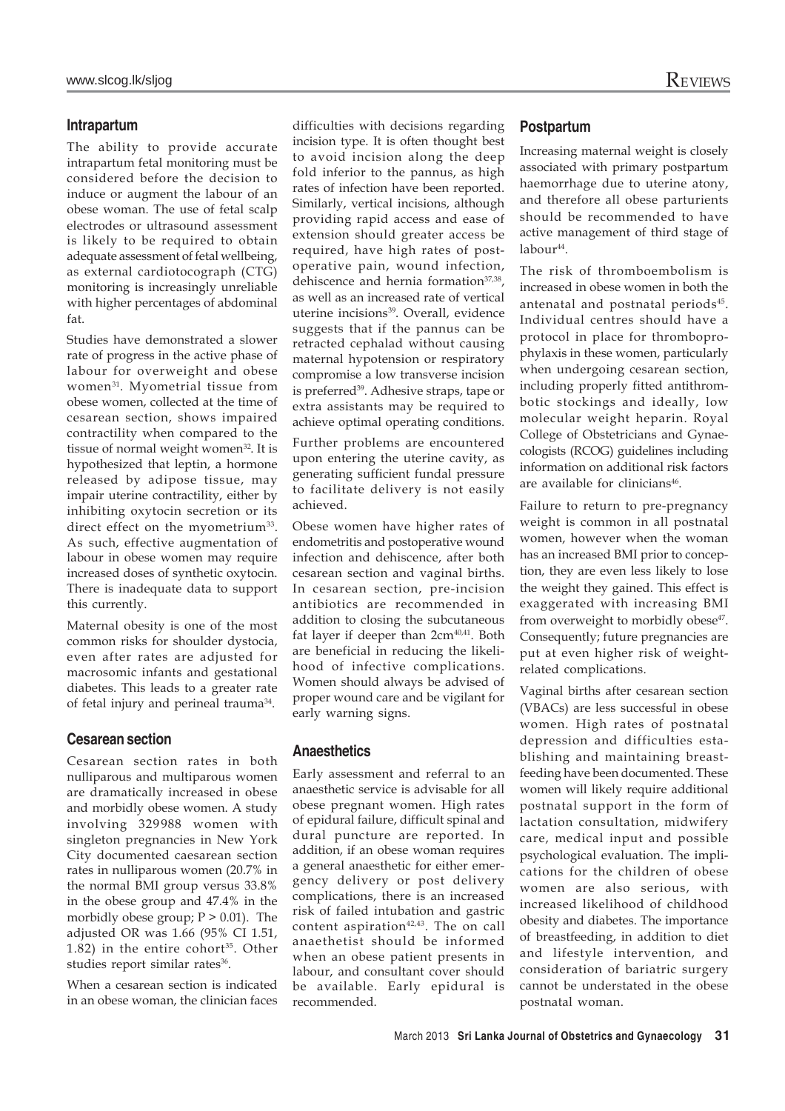#### **Intrapartum**

The ability to provide accurate intrapartum fetal monitoring must be considered before the decision to induce or augment the labour of an obese woman. The use of fetal scalp electrodes or ultrasound assessment is likely to be required to obtain adequate assessment of fetal wellbeing, as external cardiotocograph (CTG) monitoring is increasingly unreliable with higher percentages of abdominal fat.

Studies have demonstrated a slower rate of progress in the active phase of labour for overweight and obese women31. Myometrial tissue from obese women, collected at the time of cesarean section, shows impaired contractility when compared to the tissue of normal weight women<sup>32</sup>. It is hypothesized that leptin, a hormone released by adipose tissue, may impair uterine contractility, either by inhibiting oxytocin secretion or its direct effect on the myometrium<sup>33</sup>. As such, effective augmentation of labour in obese women may require increased doses of synthetic oxytocin. There is inadequate data to support this currently.

Maternal obesity is one of the most common risks for shoulder dystocia, even after rates are adjusted for macrosomic infants and gestational diabetes. This leads to a greater rate of fetal injury and perineal trauma34.

### **Cesarean section**

Cesarean section rates in both nulliparous and multiparous women are dramatically increased in obese and morbidly obese women. A study involving 329988 women with singleton pregnancies in New York City documented caesarean section rates in nulliparous women (20.7% in the normal BMI group versus 33.8% in the obese group and 47.4% in the morbidly obese group;  $P > 0.01$ ). The adjusted OR was 1.66 (95% CI 1.51,  $1.82$ ) in the entire cohort<sup>35</sup>. Other studies report similar rates<sup>36</sup>.

When a cesarean section is indicated in an obese woman, the clinician faces

difficulties with decisions regarding incision type. It is often thought best to avoid incision along the deep fold inferior to the pannus, as high rates of infection have been reported. Similarly, vertical incisions, although providing rapid access and ease of extension should greater access be required, have high rates of postoperative pain, wound infection, dehiscence and hernia formation<sup>37,38</sup>, as well as an increased rate of vertical uterine incisions<sup>39</sup>. Overall, evidence suggests that if the pannus can be retracted cephalad without causing maternal hypotension or respiratory compromise a low transverse incision is preferred<sup>39</sup>. Adhesive straps, tape or extra assistants may be required to achieve optimal operating conditions.

Further problems are encountered upon entering the uterine cavity, as generating sufficient fundal pressure to facilitate delivery is not easily achieved.

Obese women have higher rates of endometritis and postoperative wound infection and dehiscence, after both cesarean section and vaginal births. In cesarean section, pre-incision antibiotics are recommended in addition to closing the subcutaneous fat layer if deeper than  $2cm<sup>40,41</sup>$ . Both are beneficial in reducing the likelihood of infective complications. Women should always be advised of proper wound care and be vigilant for early warning signs.

### **Anaesthetics**

Early assessment and referral to an anaesthetic service is advisable for all obese pregnant women. High rates of epidural failure, difficult spinal and dural puncture are reported. In addition, if an obese woman requires a general anaesthetic for either emergency delivery or post delivery complications, there is an increased risk of failed intubation and gastric content aspiration $42,43$ . The on call anaethetist should be informed when an obese patient presents in labour, and consultant cover should be available. Early epidural is recommended.

### **Postpartum**

Increasing maternal weight is closely associated with primary postpartum haemorrhage due to uterine atony, and therefore all obese parturients should be recommended to have active management of third stage of labour<sup>44</sup>.

The risk of thromboembolism is increased in obese women in both the antenatal and postnatal periods<sup>45</sup>. Individual centres should have a protocol in place for thromboprophylaxis in these women, particularly when undergoing cesarean section, including properly fitted antithrombotic stockings and ideally, low molecular weight heparin. Royal College of Obstetricians and Gynaecologists (RCOG) guidelines including information on additional risk factors are available for clinicians<sup>46</sup>.

Failure to return to pre-pregnancy weight is common in all postnatal women, however when the woman has an increased BMI prior to conception, they are even less likely to lose the weight they gained. This effect is exaggerated with increasing BMI from overweight to morbidly obese<sup>47</sup>. Consequently; future pregnancies are put at even higher risk of weightrelated complications.

Vaginal births after cesarean section (VBACs) are less successful in obese women. High rates of postnatal depression and difficulties establishing and maintaining breastfeeding have been documented. These women will likely require additional postnatal support in the form of lactation consultation, midwifery care, medical input and possible psychological evaluation. The implications for the children of obese women are also serious, with increased likelihood of childhood obesity and diabetes. The importance of breastfeeding, in addition to diet and lifestyle intervention, and consideration of bariatric surgery cannot be understated in the obese postnatal woman.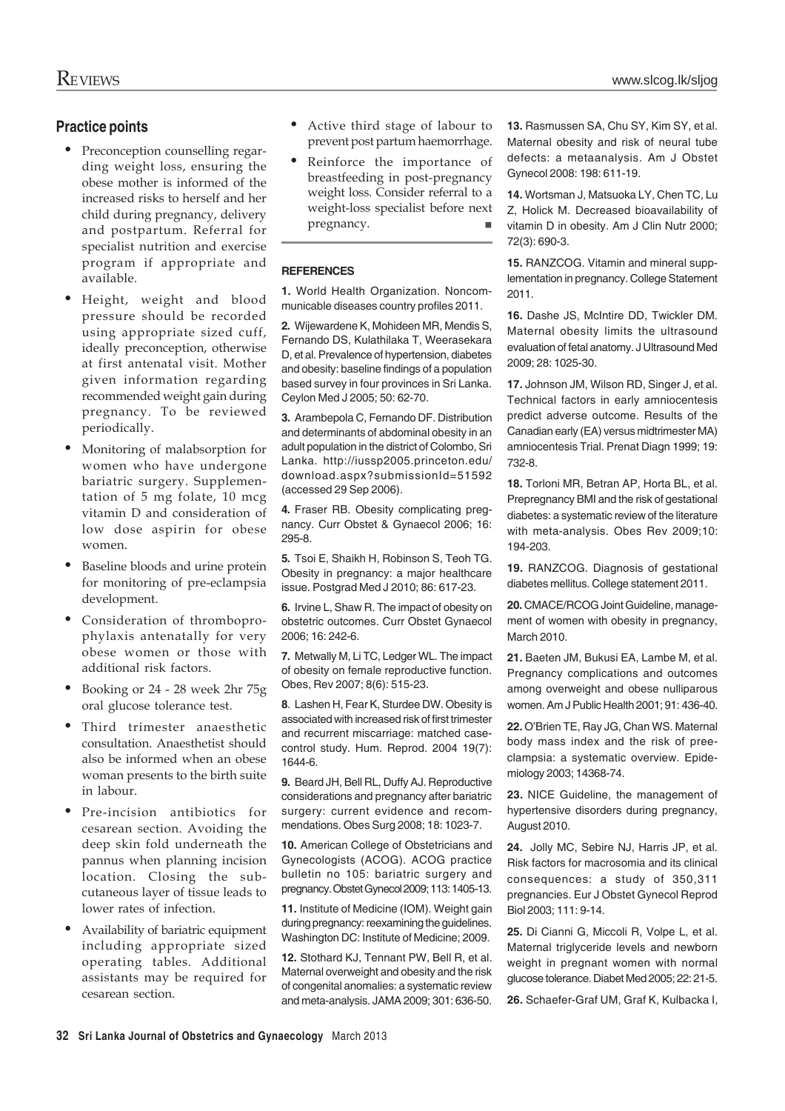### **Practice points**

- Preconception counselling regarding weight loss, ensuring the obese mother is informed of the increased risks to herself and her child during pregnancy, delivery and postpartum. Referral for specialist nutrition and exercise program if appropriate and available.
- Height, weight and blood pressure should be recorded using appropriate sized cuff, ideally preconception, otherwise at first antenatal visit. Mother given information regarding recommended weight gain during pregnancy. To be reviewed periodically.
- Monitoring of malabsorption for women who have undergone bariatric surgery. Supplementation of 5 mg folate, 10 mcg vitamin D and consideration of low dose aspirin for obese women.
- Baseline bloods and urine protein for monitoring of pre-eclampsia development.
- Consideration of thromboprophylaxis antenatally for very obese women or those with additional risk factors.
- Booking or 24 28 week 2hr 75g oral glucose tolerance test.
- Third trimester anaesthetic consultation. Anaesthetist should also be informed when an obese woman presents to the birth suite in labour.
- Pre-incision antibiotics for cesarean section. Avoiding the deep skin fold underneath the pannus when planning incision location. Closing the subcutaneous layer of tissue leads to lower rates of infection.
- Availability of bariatric equipment including appropriate sized operating tables. Additional assistants may be required for cesarean section.
- Active third stage of labour to prevent post partum haemorrhage.
- Reinforce the importance of breastfeeding in post-pregnancy weight loss. Consider referral to a weight-loss specialist before next<br>pregnancy. pregnancy.

#### **REFERENCES**

**1.** World Health Organization. Noncommunicable diseases country profiles 2011.

**2.** Wijewardene K, Mohideen MR, Mendis S, Fernando DS, Kulathilaka T, Weerasekara D, et al. Prevalence of hypertension, diabetes and obesity: baseline findings of a population based survey in four provinces in Sri Lanka. Ceylon Med J 2005; 50: 62-70.

**3.** Arambepola C, Fernando DF. Distribution and determinants of abdominal obesity in an adult population in the district of Colombo, Sri Lanka. http://iussp2005.princeton.edu/ download.aspx?submissionId=51592 (accessed 29 Sep 2006).

**4.** Fraser RB. Obesity complicating pregnancy. Curr Obstet & Gynaecol 2006; 16: 295-8.

**5.** Tsoi E, Shaikh H, Robinson S, Teoh TG. Obesity in pregnancy: a major healthcare issue. Postgrad Med J 2010; 86: 617-23.

**6.** Irvine L, Shaw R. The impact of obesity on obstetric outcomes. Curr Obstet Gynaecol 2006; 16: 242-6.

**7.** Metwally M, Li TC, Ledger WL. The impact of obesity on female reproductive function. Obes, Rev 2007; 8(6): 515-23.

**8**. Lashen H, Fear K, Sturdee DW. Obesity is associated with increased risk of first trimester and recurrent miscarriage: matched casecontrol study. Hum. Reprod. 2004 19(7): 1644-6.

**9.** Beard JH, Bell RL, Duffy AJ. Reproductive considerations and pregnancy after bariatric surgery: current evidence and recommendations. Obes Surg 2008; 18: 1023-7.

**10.** American College of Obstetricians and Gynecologists (ACOG). ACOG practice bulletin no 105: bariatric surgery and pregnancy. Obstet Gynecol 2009; 113: 1405-13.

**11.** Institute of Medicine (IOM). Weight gain during pregnancy: reexamining the guidelines. Washington DC: Institute of Medicine; 2009.

**12.** Stothard KJ, Tennant PW, Bell R, et al. Maternal overweight and obesity and the risk of congenital anomalies: a systematic review and meta-analysis. JAMA 2009; 301: 636-50. **13.** Rasmussen SA, Chu SY, Kim SY, et al. Maternal obesity and risk of neural tube defects: a metaanalysis. Am J Obstet Gynecol 2008: 198: 611-19.

**14.** Wortsman J, Matsuoka LY, Chen TC, Lu Z, Holick M. Decreased bioavailability of vitamin D in obesity. Am J Clin Nutr 2000; 72(3): 690-3.

**15.** RANZCOG. Vitamin and mineral supplementation in pregnancy. College Statement 2011.

**16.** Dashe JS, McIntire DD, Twickler DM. Maternal obesity limits the ultrasound evaluation of fetal anatomy. J Ultrasound Med 2009; 28: 1025-30.

**17.** Johnson JM, Wilson RD, Singer J, et al. Technical factors in early amniocentesis predict adverse outcome. Results of the Canadian early (EA) versus midtrimester MA) amniocentesis Trial. Prenat Diagn 1999; 19: 732-8.

**18.** Torloni MR, Betran AP, Horta BL, et al. Prepregnancy BMI and the risk of gestational diabetes: a systematic review of the literature with meta-analysis. Obes Rev 2009;10: 194-203.

**19.** RANZCOG. Diagnosis of gestational diabetes mellitus. College statement 2011.

**20.** CMACE/RCOG Joint Guideline, management of women with obesity in pregnancy, March 2010.

**21.** Baeten JM, Bukusi EA, Lambe M, et al. Pregnancy complications and outcomes among overweight and obese nulliparous women. Am J Public Health 2001; 91: 436-40.

**22.** O'Brien TE, Ray JG, Chan WS. Maternal body mass index and the risk of preeclampsia: a systematic overview. Epidemiology 2003; 14368-74.

**23.** NICE Guideline, the management of hypertensive disorders during pregnancy, August 2010.

**24.** Jolly MC, Sebire NJ, Harris JP, et al. Risk factors for macrosomia and its clinical consequences: a study of 350,311 pregnancies. Eur J Obstet Gynecol Reprod Biol 2003; 111: 9-14.

**25.** Di Cianni G, Miccoli R, Volpe L, et al. Maternal triglyceride levels and newborn weight in pregnant women with normal glucose tolerance. Diabet Med 2005; 22: 21-5.

**26.** Schaefer-Graf UM, Graf K, Kulbacka I,